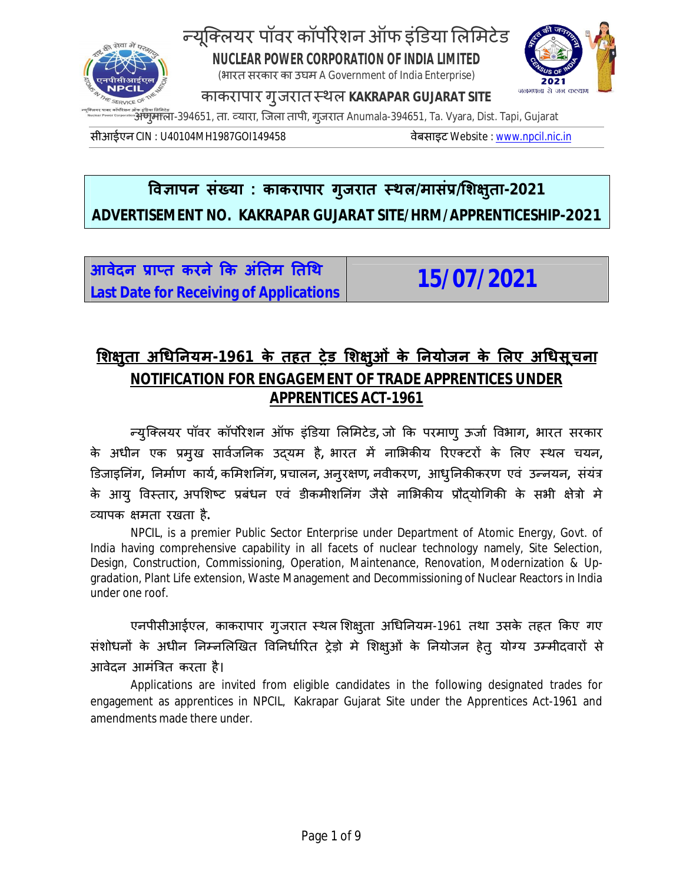

# न्यूक्लियर पॉवर कॉर्पोरेशन ऑफ इंडिया लिमिटेड **NUCLEAR POWER CORPORATION OF INDIA LIMITED**

(भारत सरकार का उघम A Government of India Enterprise)



काकरापार गुजरातèथल **KAKRAPAR GUJARAT SITE**

अणुमाला-394651, ता. व्यारा, जिला तापी, गुजरात Anumala-394651, Ta. Vyara, Dist. Tapi, Gujarat

सीआईएन CIN : U40104MH1987GOI149458 वेबसाइट Website : www.npcil.nic.in

## **ͪव£ापन संÉया : काकरापार गुजरात èथल/मासंĤ/ͧश¢ुता-2021 ADVERTISEMENT NO. KAKRAPAR GUJARAT SITE/HRM/APPRENTICESHIP-2021**

<u>आवेदन प्राप्त करने कि अंतिम तिथि</u> **Last Date for Receiving of Applications 15/07/2021**

## **ͧश¢ुता अͬधǓनयम-1961 के तहत Ěेड ͧश¢ुओं के Ǔनयोजन के ͧलए अͬधसूचना NOTIFICATION FOR ENGAGEMENT OF TRADE APPRENTICES UNDER APPRENTICES ACT-1961**

Ûयु िÈलयर पॉवर कॉपȾरेशन ऑफ इंͫडया ͧलͧमटेड**,** जो ͩक परमाणु ऊजा[ ͪवभाग**,** भारत सरकार के अधीन एक प्रमुख सार्वजनिक उदयम है, भारत में नाभिकीय रिएक्टरों के लिए स्थल चयन, ͫडजाइǓनंग**,** Ǔनमा[ण काय[**,** कͧमशǓनंग**,** Ĥचालन**,** अनुर¢ण**,** नवीकरण**,** आधु Ǔनकȧकरण एवं उÛनयन**,** संयंğ के आयु विस्तार, अपशिष्ट प्रबंधन एवं डीकमीशनिंग जैसे नाभिकीय प्रौदयोगिकी के सभी क्षेत्रो मे åयापक ¢मता रखता है**.**

NPCIL, is a premier Public Sector Enterprise under Department of Atomic Energy, Govt. of India having comprehensive capability in all facets of nuclear technology namely, Site Selection, Design, Construction, Commissioning, Operation, Maintenance, Renovation, Modernization & Upgradation, Plant Life extension, Waste Management and Decommissioning of Nuclear Reactors in India under one roof.

एनपीसीआईएल, काकरापार गुजरात स्थल शिक्षुता अधिनियम-1961 तथा उसके तहत किए गए संशोधनों के अधीन निम्नलिखित विनिर्धारित ट्रेड़ो मे शिक्षुओं के नियोजन हेतु योग्य उम्मीदवारों से आवेदन आमंत्रित करता है।

Applications are invited from eligible candidates in the following designated trades for engagement as apprentices in NPCIL, Kakrapar Gujarat Site under the Apprentices Act-1961 and amendments made there under.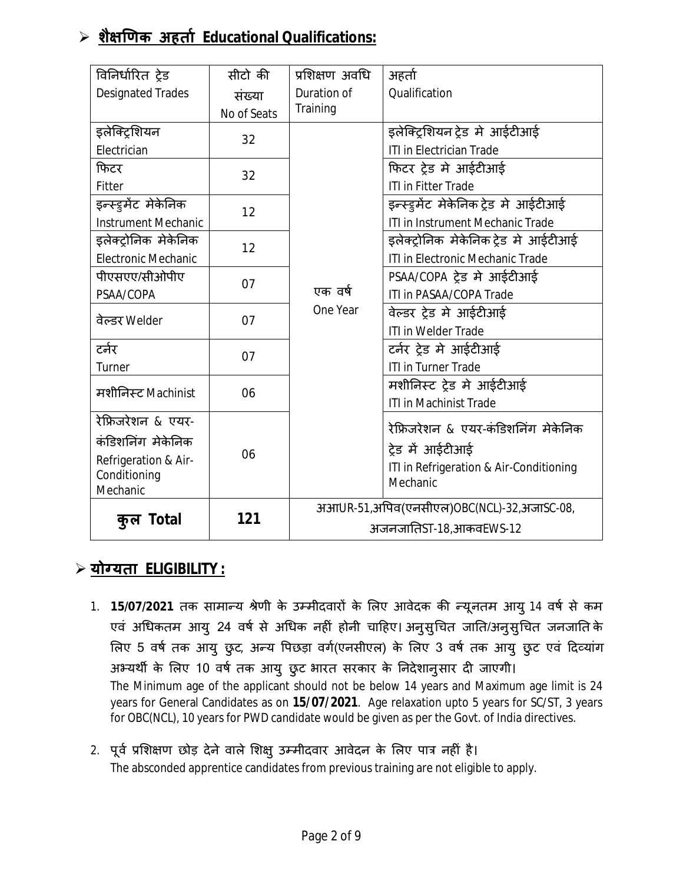## **शै¢ͨणक अहता[ Educational Qualifications:**

| विनिर्धारित ट्रेड          | सीटो की     | प्रशिक्षण अवधि         | अहर्ता                                              |
|----------------------------|-------------|------------------------|-----------------------------------------------------|
| <b>Designated Trades</b>   | संख्या      | Duration of            | Qualification                                       |
|                            | No of Seats | Training               |                                                     |
| इलेक्ट्रिशियन              | 32          |                        | इलेक्ट्रिशयन ट्रेड मे आईटीआई                        |
| Electrician                |             |                        | <b>ITI in Electrician Trade</b>                     |
| फिटर                       | 32          |                        | फिटर ट्रेड मे आईटीआई                                |
| Fitter                     |             |                        | <b>ITI in Fitter Trade</b>                          |
| इन्स्ड्रमेंट मेकेनिक       | 12          |                        | इन्स्ड्रमेंट मेकेनिक ट्रेड मे आईटीआई                |
| <b>Instrument Mechanic</b> |             |                        | ITI in Instrument Mechanic Trade                    |
| इलेक्ट्रोनिक मेकेनिक       | 12          |                        | इलेक्ट्रोनिक मेकेनिक ट्रेड मे आईटीआई                |
| <b>Electronic Mechanic</b> |             |                        | ITI in Electronic Mechanic Trade                    |
| पीएसएए/सीओपीए              | 07          |                        | PSAA/COPA ट्रेड मे आईटीआई                           |
| PSAA/COPA                  |             | एक वर्ष<br>One Year    | ITI in PASAA/COPA Trade                             |
| वेल्डर Welder              | 07          |                        | वेल्डर ट्रेड मे आईटीआई                              |
|                            |             |                        | <b>ITI in Welder Trade</b>                          |
| टर्नर                      | 07          |                        | टर्नर ट्रेड मे आईटीआई                               |
| Turner                     |             |                        | <b>ITI in Turner Trade</b>                          |
| मशीनिस्ट Machinist         | 06          |                        | मशीनिस्ट ट्रेड मे आईटीआई                            |
|                            |             |                        | <b>ITI in Machinist Trade</b>                       |
| रेफ्रिजरेशन & एयर-         |             |                        | रेफ्रिजरेशन & एयर-कंडिशनिंग मेकेनिक                 |
| कंडिशनिंग मेकेनिक          |             |                        |                                                     |
| Refrigeration & Air-       | 06          |                        | ट्रेड में आईटीआई                                    |
| Conditioning               |             |                        | ITI in Refrigeration & Air-Conditioning<br>Mechanic |
| Mechanic                   |             |                        |                                                     |
|                            | 121         |                        | अआUR-51,अपिव(एनसीएल)OBC(NCL)-32,अजाSC-08,           |
| कुल Total                  |             | अजनजातिST-18,आकवEWS-12 |                                                     |

### **योÊयता ELIGIBILITY :**

- 1. **15/07/2021** तक सामान्य श्रेणी के उम्मीदवारों के लिए आवेदक की न्यूनतम आयु 14 वर्ष से कम एवं अधिकतम आयु 24 वर्ष से अधिक नहीं होनी चाहिए। अनुसुचित जाति/अनुसुचित जनजाति के लिए 5 वर्ष तक आयु छुट, अन्य पिछड़ा वर्ग(एनसीएल) के लिए 3 वर्ष तक आयु छुट एवं दिव्यांग अभ्यर्थी के लिए 10 वर्ष तक आयु छुट भारत सरकार के निदेशानुसार दी जाएगी। The Minimum age of the applicant should not be below 14 years and Maximum age limit is 24 years for General Candidates as on **15/07/2021**. Age relaxation upto 5 years for SC/ST, 3 years for OBC(NCL), 10 years for PWD candidate would be given as per the Govt. of India directives.
- 2. पूर्व प्रशिक्षण छोड़ देने वाले शिक्षु उम्मीदवार आवेदन के लिए पात्र नहीं है। The absconded apprentice candidates from previous training are not eligible to apply.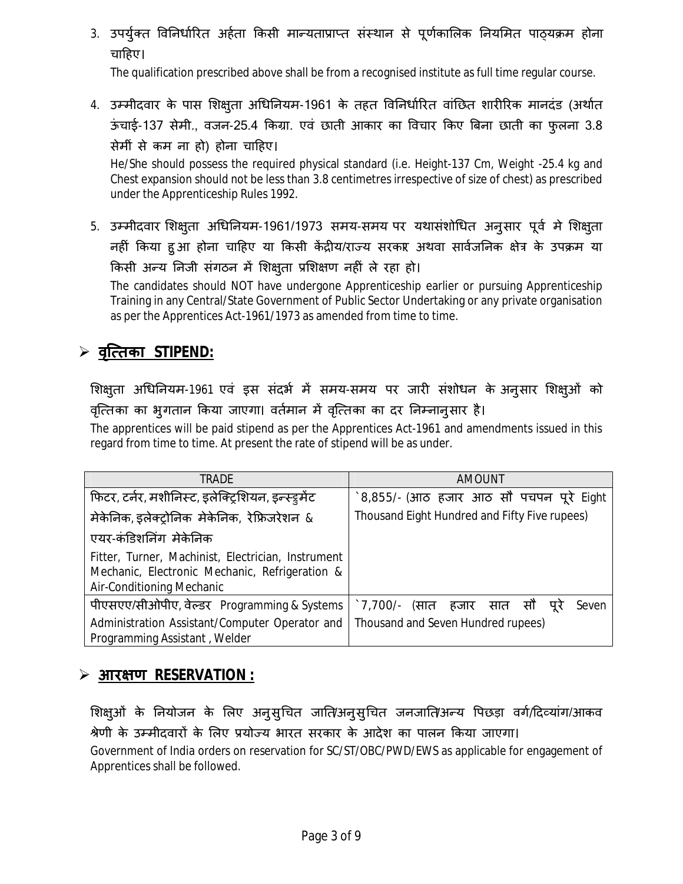3. उपर्युक्त विनिर्धारित अर्हता किसी मान्यताप्राप्त संस्थान से पूर्णकालिक नियमित पाठयक्रम होना चाहिए।

The qualification prescribed above shall be from a recognised institute as full time regular course.

4. उम्मीदवार के पास शिक्ष्ता अधिनियम-1961 के तहत विनिर्धारित वांछित शारीरिक मानदंड (अर्थात ऊंचाई-137 सेमी., वजन-25.4 किग्रा. एवं छाती आकार का विचार किए बिना छाती का फुलना 3.8 सेमीं से कम ना हो) होना चाǑहए।

He/She should possess the required physical standard (i.e. Height-137 Cm, Weight -25.4 kg and Chest expansion should not be less than 3.8 centimetres irrespective of size of chest) as prescribed under the Apprenticeship Rules 1992.

5. उम्मीदवार शिक्षुता अधिनियम-1961/1973 समय-समय पर यथासंशोधित अनुसार पूर्व मे शिक्षुता नहीं किया हुआ होना चाहिए या किसी केंद्रीय/राज्य सरकार अथवा सार्वजनिक क्षेत्र के उपक्रम या किसी अन्य निजी संगठन में शिक्षुता प्रशिक्षण नहीं ले रहा हो।

The candidates should NOT have undergone Apprenticeship earlier or pursuing Apprenticeship Training in any Central/State Government of Public Sector Undertaking or any private organisation as per the Apprentices Act-1961/1973 as amended from time to time.

## **वृि×तका STIPEND:**

शिक्ष्**ता अधिनियम-1961 एवं इस संदर्भ में समय-समय** पर जारी संशोधन के अनुसार शिक्षुओं को वृत्तिका का भुगतान किया जाएगा। वर्तमान में वृत्तिका का दर निम्नानुसार है।

The apprentices will be paid stipend as per the Apprentices Act-1961 and amendments issued in this regard from time to time. At present the rate of stipend will be as under.

| TRADE                                                                                                                             | <b>AMOUNT</b>                                 |  |  |
|-----------------------------------------------------------------------------------------------------------------------------------|-----------------------------------------------|--|--|
| फिटर, टर्नर, मशीनिस्ट, इलेक्ट्रिशियन, इन्स्ड्रमेंट                                                                                | `8,855/- (आठ हजार आठ सौ पचपन पूरे Eight       |  |  |
| मेकेनिक, इलेक्ट्रोनिक मेकेनिक, रेफ्रिजरेशन &                                                                                      | Thousand Eight Hundred and Fifty Five rupees) |  |  |
| एयर-कंडिशनिंग मेकेनिक                                                                                                             |                                               |  |  |
| Fitter, Turner, Machinist, Electrician, Instrument<br>Mechanic, Electronic Mechanic, Refrigeration &<br>Air-Conditioning Mechanic |                                               |  |  |
| पीएसएए/सीओपीए, वेल्डर Programming & Systems                                                                                       | े 7,700/- (सात हजार सात सौ पूरे<br>Seven      |  |  |
| Administration Assistant/Computer Operator and<br>Programming Assistant, Welder                                                   | Thousand and Seven Hundred rupees)            |  |  |

### **आर¢ण RESERVATION :**

शिक्षुओं के नियोजन के लिए अनुसुचित जाति/अनुसुचित जनजाति/अन्य पिछड़ा वर्ग/दिव्यांग/आकव श्रेणी के उम्मीदवारों के लिए प्रयोज्य भारत सरकार के आदेश का पालन किया जाएगा। Government of India orders on reservation for SC/ST/OBC/PWD/EWS as applicable for engagement of Apprentices shall be followed.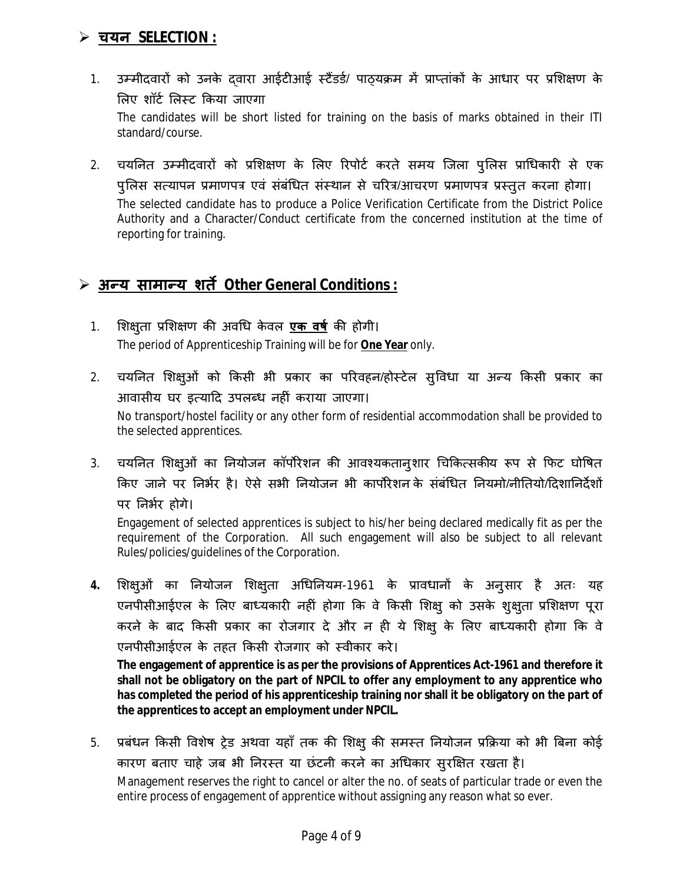### **चयन SELECTION :**

1. उम्मीदवारों को उनके दवारा आईटीआई स्टैंडर्ड/ पाठ्यक्रम में प्राप्तांकों के आधार पर प्रशिक्षण के लिए शॉर्ट लिस्ट किया जाएगा

The candidates will be short listed for training on the basis of marks obtained in their ITI standard/course.

2. चयनित उम्मीदवारों को प्रशिक्षण के लिए रिपोर्ट करते समय जिला पुलिस प्राधिकारी से एक पुलिस सत्यापन प्रमाणपत्र एवं संबंधित संस्थान से चरित्र/आचरण प्रमाणपत्र प्रस्तुत करना होगा। The selected candidate has to produce a Police Verification Certificate from the District Police Authority and a Character/Conduct certificate from the concerned institution at the time of reporting for training.

### **अÛय सामाÛय शतȶ Other General Conditions :**

- 1. शिक्षुता प्रशिक्षण की अवधि केवल <mark>एक वर्ष</mark> की होगी। The period of Apprenticeship Training will be for **One Year** only.
- 2. चयनित शिक्षुओं को किसी भी प्रकार का परिवहन/होस्टेल सुविधा या अन्य किसी प्रकार का आवासीय घर इत्यादि उपलब्ध नहीं कराया जाएगा। No transport/hostel facility or any other form of residential accommodation shall be provided to the selected apprentices.
- 3. चयनित शिक्ष्3ों का नियोजन कॉर्पोरेशन की आवश्यकतान्9शार चिकित्सकीय रूप से फिट घोषित किए जाने पर निर्भर है। ऐसे सभी नियोजन भी कार्पोरेशन के संबंधित नियमो/नीतियो/दिशानिर्देशों पर निर्भर होगे।

Engagement of selected apprentices is subject to his/her being declared medically fit as per the requirement of the Corporation. All such engagement will also be subject to all relevant Rules/policies/guidelines of the Corporation.

4. शिक्षुओं का नियोजन शिक्षुता अधिनियम-1961 के प्रावधानों के अनुसार है अतः यह एनपीसीआईएल के लिए बाध्यकारी नहीं होगा कि वे किसी शिक्षु को उसके शुक्षुता प्रशिक्षण पूरा करने के बाद किसी प्रकार का रोजगार दे और न ही ये शिक्षु के लिए बाध्यकारी होगा कि वे एनपीसीआईएल के तहत किसी रोजगार को स्वीकार करे।

**The engagement of apprentice is as per the provisions of Apprentices Act-1961 and therefore it shall not be obligatory on the part of NPCIL to offer any employment to any apprentice who has completed the period of his apprenticeship training nor shall it be obligatory on the part of the apprentices to accept an employment under NPCIL.**

5. प्रबंधन किसी विशेष ट्रेड अथवा यहाँ तक की शिक्षु की समस्त नियोजन प्रक्रिया को भी बिना कोई कारण बताए चाहे जब भी निरस्त या छंटनी करने का अधिकार सुरक्षित रखता है। Management reserves the right to cancel or alter the no. of seats of particular trade or even the

entire process of engagement of apprentice without assigning any reason what so ever.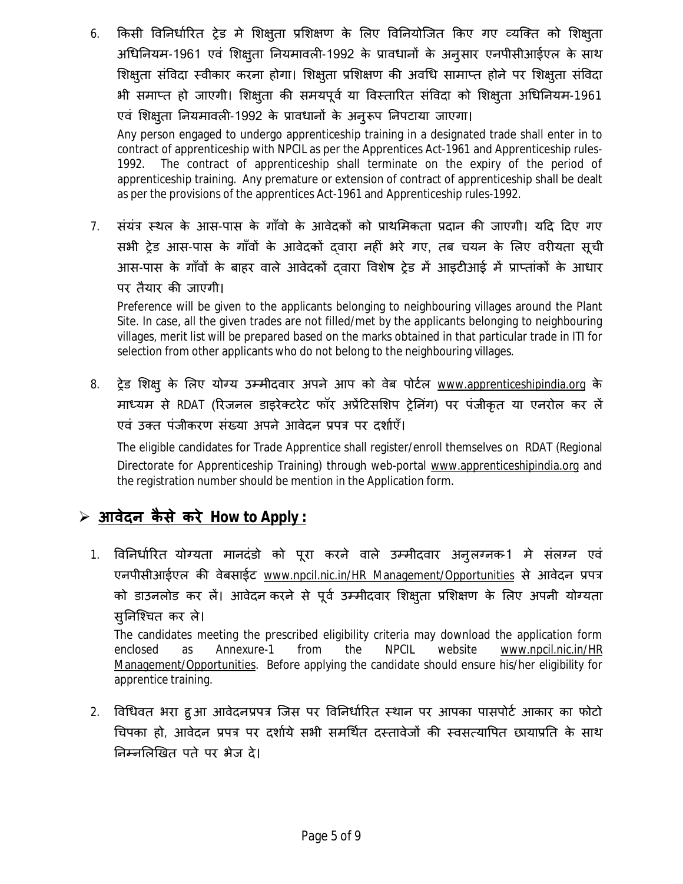6. किसी विनिर्धारित ट्रेड मे शिक्षुता प्रशिक्षण के लिए विनियोजित किए गए व्यक्ति को शिक्षुता अधिनियम-1961 एवं शिक्षुता नियमावली-1992 के प्रावधानों के अनुसार एनपीसीआईएल के साथ शिक्षुता संविदा स्वीकार करना होगा। शिक्षुता प्रशिक्षण की अवधि सामाप्त होने पर शिक्षुता संविदा भी समाप्त हो जाएगी। शिक्षुता की समयपूर्व या विस्तारित संविदा को शिक्षुता अधिनियम-1961 एवं शिक्षुता नियमावली-1992 के प्रावधानों के अनुरूप निपटाया जाएगा।

Any person engaged to undergo apprenticeship training in a designated trade shall enter in to contract of apprenticeship with NPCIL as per the Apprentices Act-1961 and Apprenticeship rules-1992. The contract of apprenticeship shall terminate on the expiry of the period of apprenticeship training. Any premature or extension of contract of apprenticeship shall be dealt as per the provisions of the apprentices Act-1961 and Apprenticeship rules-1992.

7. संयंत्र स्थल के आस-पास के गाँवो के आवेदकों को प्राथमिकता प्रदान की जाएगी। यदि दिए गए सभी ट्रेड आस-पास के गाँवों के आवेदकों दवारा नहीं भरे गए, तब चयन के लिए वरीयता सूची आस-पास के गाँवों के बाहर वाले आवेदकों दवारा विशेष ट्रेड में आइटीआई में प्राप्तांकों के आधार पर तैयार की जाएगी।

Preference will be given to the applicants belonging to neighbouring villages around the Plant Site. In case, all the given trades are not filled/met by the applicants belonging to neighbouring villages, merit list will be prepared based on the marks obtained in that particular trade in ITI for selection from other applicants who do not belong to the neighbouring villages.

8. ट्रेड शिक्ष् के लिए योग्य उम्मीदवार अपने आप को वेब पोर्टल <u>www.apprenticeshipindia.org</u> के माध्यम से RDAT (रिजनल डाइरेक्टरेट फॉर अप्रेंटिसशिप ट्रेनिंग) पर पंजीकृत या एनरोल कर लें एवं उक्त पंजीकरण संख्या अपने आवेदन प्रपत्र पर दर्शाएँ।

The eligible candidates for Trade Apprentice shall register/enroll themselves on RDAT (Regional Directorate for Apprenticeship Training) through web-portal www.apprenticeshipindia.org and the registration number should be mention in the Application form.

## **आवेदन कै से करे How to Apply :**

1. विनिर्धारित योग्यता मानदंडो को पूरा करने वाले उम्मीदवार अनुलग्नक-1 मे संलग्न एवं एनपीसीआईएल की वेबसाईट www.npcil.nic.in/HR Management/Opportunities से आवेदन प्रपत्र को डाउनलोड कर लें। आवेदन करने से पूर्व उम्मीदवार शिक्ष्तुता प्रशिक्षण के लिए अपनी योग्यता सुनिश्चित कर ले।

The candidates meeting the prescribed eligibility criteria may download the application form enclosed as Annexure-1 from the NPCIL website www.npcil.nic.in/HR Management/Opportunities. Before applying the candidate should ensure his/her eligibility for apprentice training.

2. विधिवत भरा हुआ आवेदनप्रपत्र जिस पर विनिर्धारित स्थान पर आपका पासपोर्ट आकार का फोटो चिपका हो, आवेदन प्रपत्र पर दर्शाये सभी समर्थित दस्तावेजों की स्वसत्यापित छायाप्रति के साथ Ǔनàनͧलͨखत पते पर भेज दे।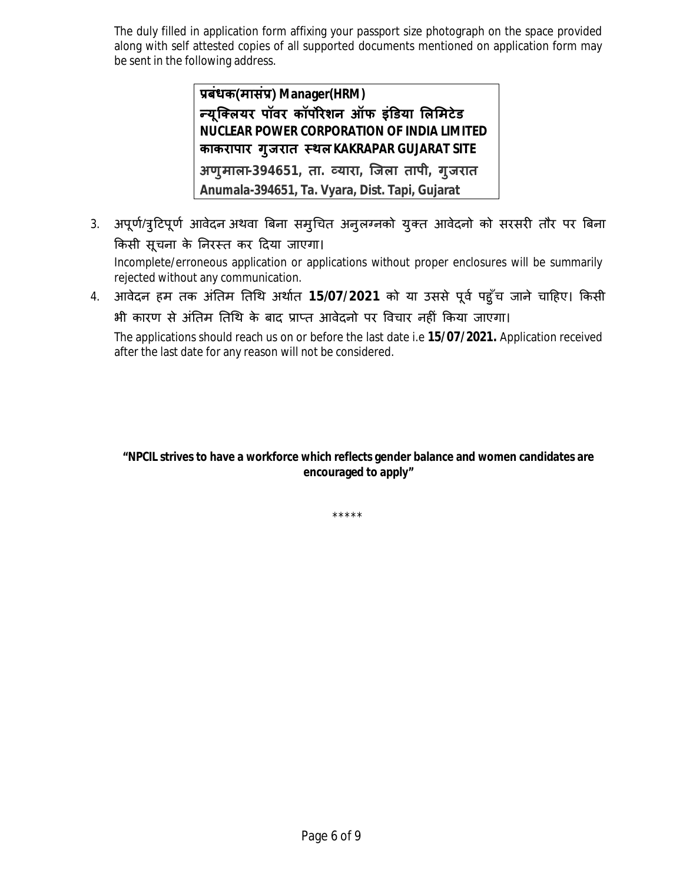The duly filled in application form affixing your passport size photograph on the space provided along with self attested copies of all supported documents mentioned on application form may be sent in the following address.

> **Ĥबंधक(मासंĤ) Manager(HRM) Ûयू िÈलयर पॉवर कॉपȾरेशन ऑफ इंͫडया ͧलͧमटेड NUCLEAR POWER CORPORATION OF INDIA LIMITED काकरापार गुजरात èथलKAKRAPAR GUJARAT SITE अणुमाला-394651, ता. åयारा, िजला तापी, गुजरात Anumala-394651, Ta. Vyara, Dist. Tapi, Gujarat**

- 3. अपूर्ण/त्रुटिपूर्ण आवेदन अथवा बिना समुचित अनुलग्नको युक्त आवेदनो को सरसरी तौर पर बिना किसी सूचना के निरस्त कर दिया जाएगा। Incomplete/erroneous application or applications without proper enclosures will be summarily rejected without any communication.
- 4. आवेदन हम तक अंतिम तिथि अर्थात 15/07/2021 को या उससे पूर्व पहुँच जाने चाहिए। किसी भी कारण से अंतिम तिथि के बाद प्राप्त आवेदनो पर विचार नहीं किया जाएगा।

The applications should reach us on or before the last date i.e **15/07/2021.** Application received after the last date for any reason will not be considered.

#### **"NPCIL strives to have a workforce which reflects gender balance and women candidates are encouraged to apply"**

\*\*\*\*\*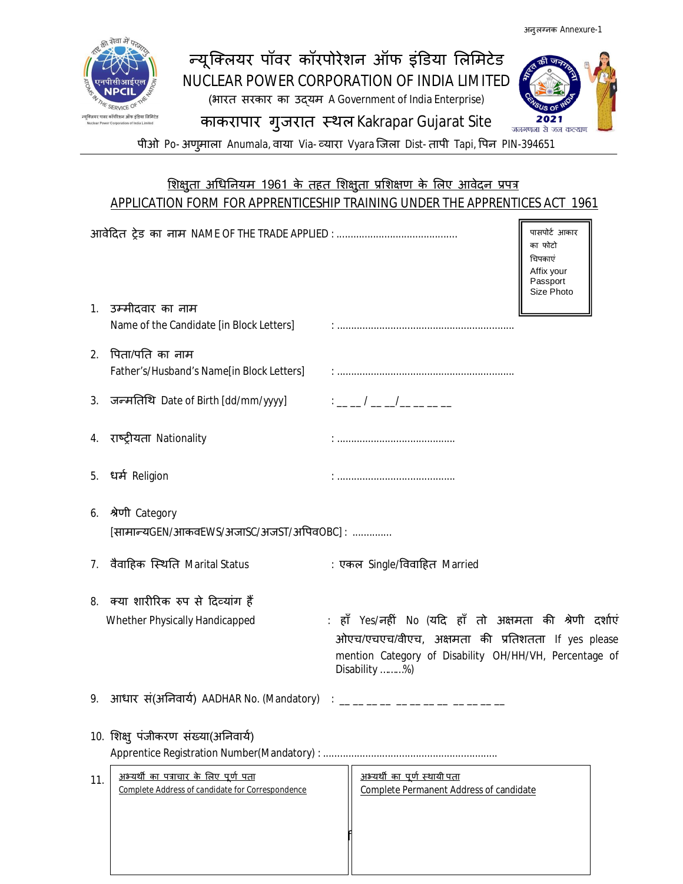2021



## न्यूक्लियर पॉवर कॉरपोरेशन ऑफ इंडिया लिमिटेड NUCLEAR POWER CORPORATION OF INDIA LIMITED (भारत सरकार का उɮयम A Government of India Enterprise) काकरापार गुजरात स्थल Kakrapar Gujarat Site



#### <u>शिक्षुता अधिनियम 1961 के तहत शिक्षुता प्रशिक्षण के लिए आवेदन प्रपत्र</u> APPLICATION FORM FOR APPRENTICESHIP TRAINING UNDER THE APPRENTICES ACT 1961

|     |                                                                                                  |                                                                                                                                                                                         | पासपोर्ट आकार<br>का फोटो<br>चिपकाएं<br>Affix your<br>Passport<br>Size Photo |
|-----|--------------------------------------------------------------------------------------------------|-----------------------------------------------------------------------------------------------------------------------------------------------------------------------------------------|-----------------------------------------------------------------------------|
|     | 1. उम्मीदवार का नाम<br>Name of the Candidate [in Block Letters]                                  |                                                                                                                                                                                         |                                                                             |
| 2.  | पिता/पति का नाम<br>Father's/Husband's Name[in Block Letters]                                     |                                                                                                                                                                                         |                                                                             |
|     | 3. जन्मतिथि Date of Birth [dd/mm/yyyy]                                                           | <u>: _ _ / _ _/_ _ _ _ _</u>                                                                                                                                                            |                                                                             |
|     | 4. राष्ट्रीयता Nationality                                                                       |                                                                                                                                                                                         |                                                                             |
|     | 5. धर्म Religion                                                                                 |                                                                                                                                                                                         |                                                                             |
|     | 6. श्रेणी Category<br>[सामान्यGEN/आकवEWS/अजाSC/अजST/अपिवOBC] :                                   |                                                                                                                                                                                         |                                                                             |
|     | 7. वैवाहिक स्थिति Marital Status                                                                 | : एकल Single/विवाहित Married                                                                                                                                                            |                                                                             |
|     | 8. क्या शारीरिक रुप से दिव्यांग हैं                                                              |                                                                                                                                                                                         |                                                                             |
|     | Whether Physically Handicapped                                                                   | : हाँ Yes/नहीं No (यदि हाँ तो अक्षमता की श्रेणी दर्शाएं<br>ओएच/एचएच/वीएच, अक्षमता की प्रतिशतता If yes please<br>mention Category of Disability OH/HH/VH, Percentage of<br>Disability %) |                                                                             |
|     | 9. आधार सं(अनिवार्य) AADHAR No. (Mandatory)                                                      | _ __ __ __ __ __ __ __ __ __                                                                                                                                                            |                                                                             |
|     | 10. शिक्षु पंजीकरण संख्या(अनिवार्य)                                                              |                                                                                                                                                                                         |                                                                             |
| 11. | <u>अभ्यर्थी का पत्राचार के लिए पूर्ण पता</u><br>Complete Address of candidate for Correspondence | <u>अभ्यर्थी का पूर्ण स्थायी पता</u><br>Complete Permanent Address of candidate                                                                                                          |                                                                             |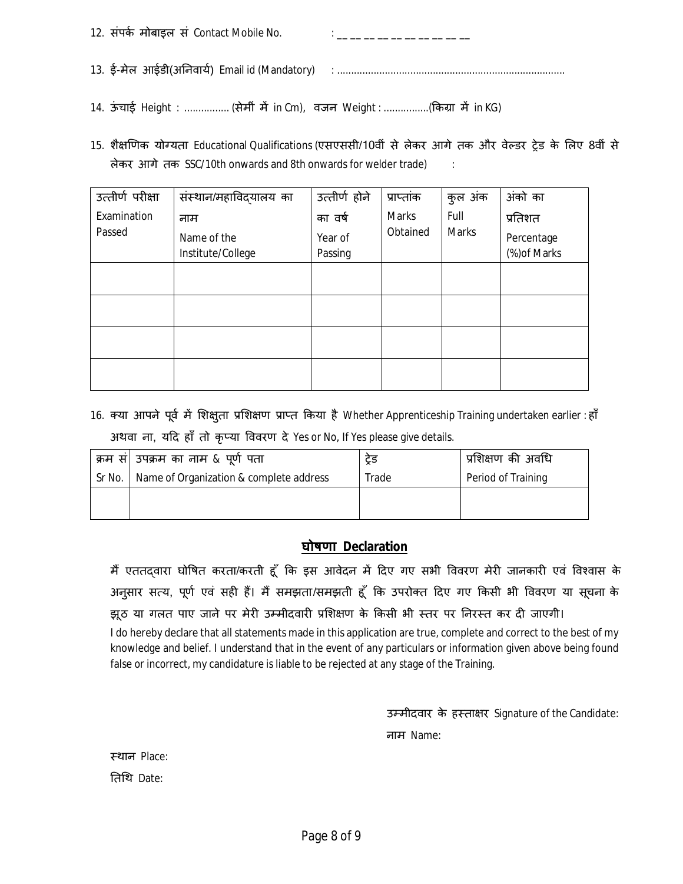| 12. संपर्क मोबाइल सं Contact Mobile No. | <u> 1988 - Jan Lander von Jan Lander</u> |
|-----------------------------------------|------------------------------------------|
|                                         |                                          |

14. ऊंचाई Height : ................ (सेमीं में in Cm), वजन Weight : .................(किग्रा में in KG)

15. शैक्षणिक योग्यता Educational Qualifications (एसएससी/10वीं से लेकर आगे तक और वेल्डर ट्रेड के लिए 8वीं से लेकर आगे तक SSC/10th onwards and 8th onwards for welder trade) :

| उत्तीर्ण परीक्षा | संस्थान/महाविदयालय का | उत्तीर्ण होने | प्राप्तांक               | कुल अंक    | अंको का      |
|------------------|-----------------------|---------------|--------------------------|------------|--------------|
| Examination      | नाम                   | का वर्ष       | Marks                    | Full       | प्रतिशत      |
| Passed           | Name of the           | Year of       | Obtained<br><b>Marks</b> | Percentage |              |
|                  | Institute/College     | Passing       |                          |            | (%) of Marks |
|                  |                       |               |                          |            |              |
|                  |                       |               |                          |            |              |
|                  |                       |               |                          |            |              |
|                  |                       |               |                          |            |              |
|                  |                       |               |                          |            |              |

16. क्या आपने पूर्व में शिक्षुता प्रशिक्षण प्राप्त किया है Whether Apprenticeship Training undertaken earlier : हाँ अथवा ना, यदि हाँ तो कृप्या विवरण दे Yes or No, If Yes please give details.

| क्रम सं  उपक्रम का नाम & पूर्ण पता               | ट्रड  | प्रशिक्षण की अवधि  |
|--------------------------------------------------|-------|--------------------|
| Sr No.   Name of Organization & complete address | Trade | Period of Training |
|                                                  |       |                    |
|                                                  |       |                    |

#### **घोषणा Declaration**

मैं एततदवारा घोषित करता/करती हूँ कि इस आवेदन में दिए गए सभी विवरण मेरी जानकारी एवं विश्वास के अनुसार सत्य, पूर्ण एवं सही हैं। मैं समझता/समझती हूँ कि उपरोक्त दिए गए किसी भी विवरण या सूचना के झूठ या गलत पाए जाने पर मेरी उम्मीदवारी प्रशिक्षण के किसी भी स्तर पर निरस्त कर दी जाएगी।

I do hereby declare that all statements made in this application are true, complete and correct to the best of my knowledge and belief. I understand that in the event of any particulars or information given above being found false or incorrect, my candidature is liable to be rejected at any stage of the Training.

उम्मीदवार के हस्ताक्षर Signature of the Candidate:

नाम Name:

èथान Place:

Ǔतͬथ Date: